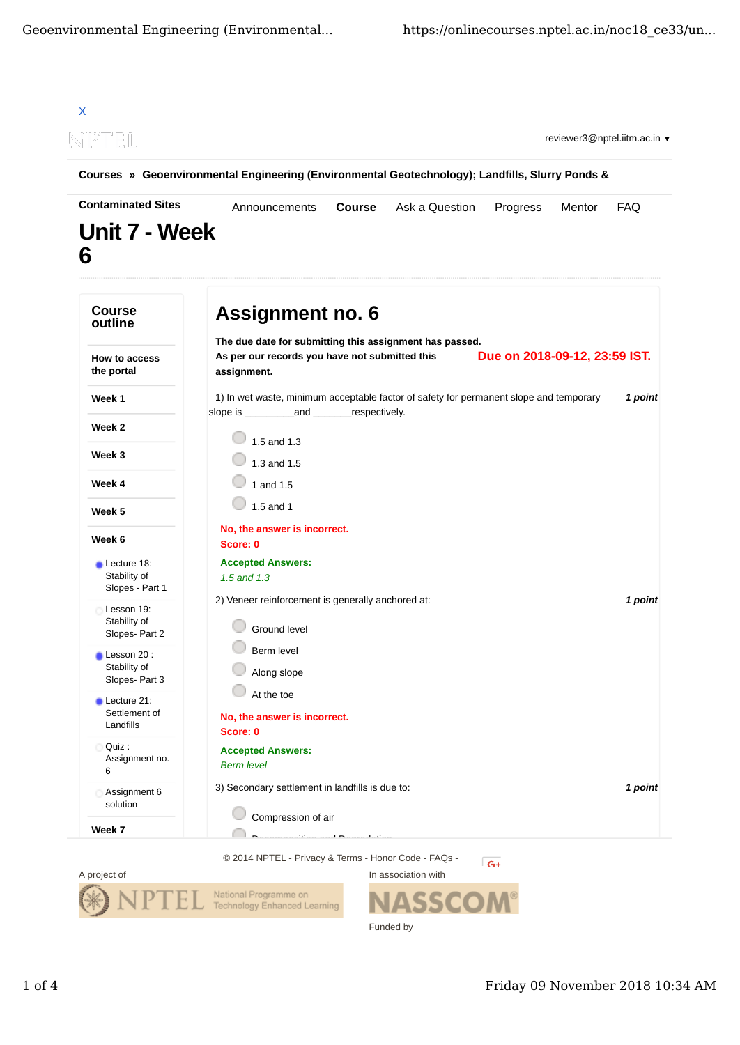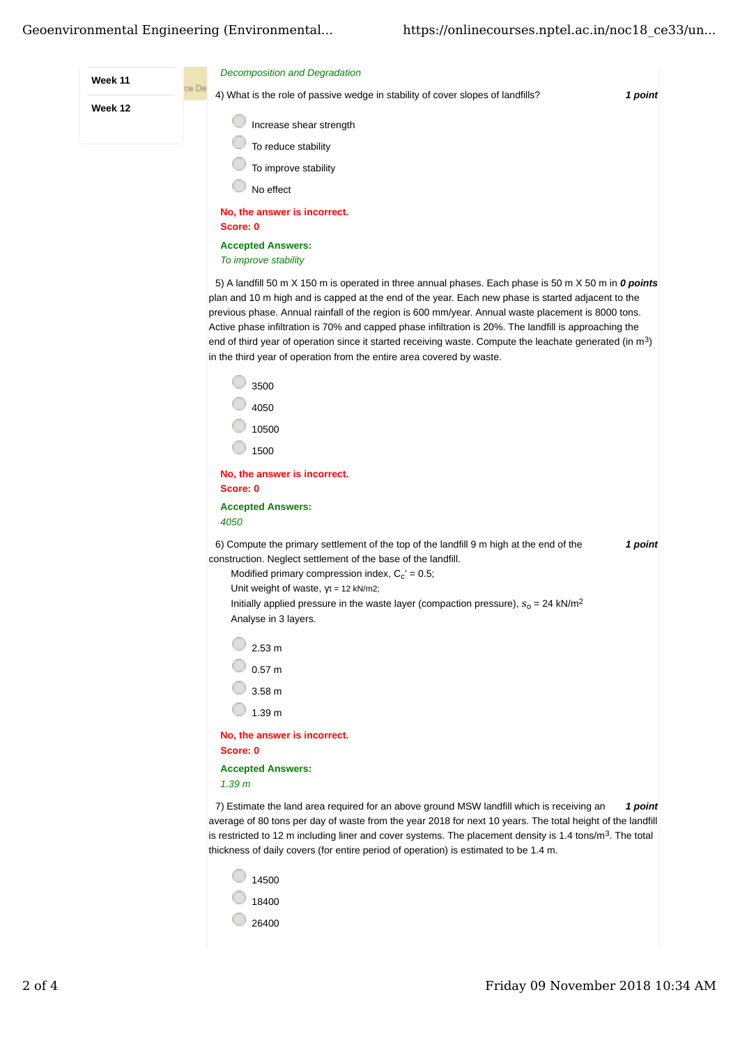

 $\circ$  26400